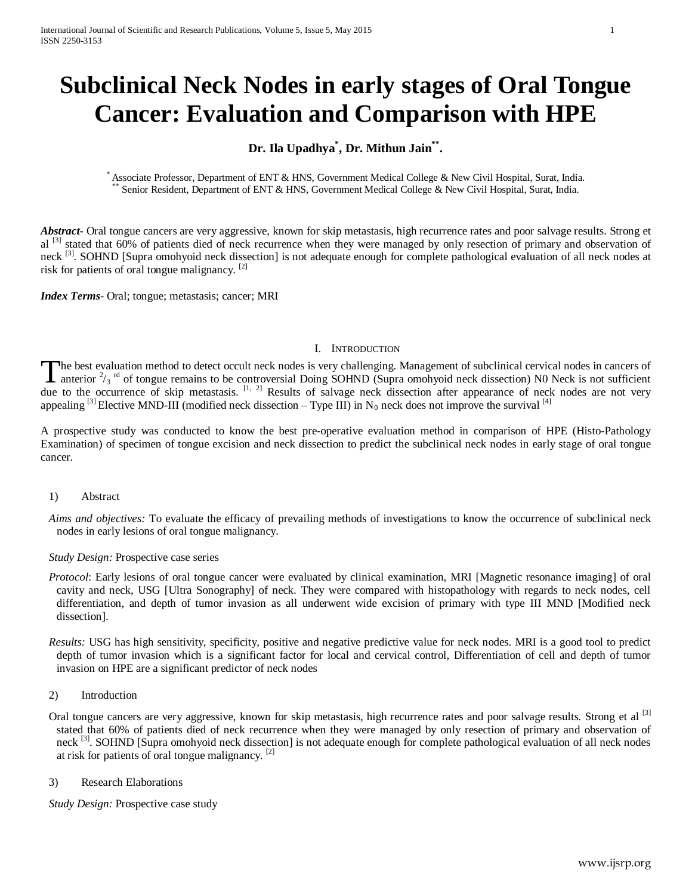# **Subclinical Neck Nodes in early stages of Oral Tongue Cancer: Evaluation and Comparison with HPE**

# **Dr. Ila Upadhya\* , Dr. Mithun Jain\*\*.**

Associate Professor, Department of ENT & HNS, Government Medical College & New Civil Hospital, Surat, India. \*\* Senior Resident, Department of ENT & HNS, Government Medical College & New Civil Hospital, Surat, India.

*Abstract***-** Oral tongue cancers are very aggressive, known for skip metastasis, high recurrence rates and poor salvage results. Strong et al <sup>[3]</sup> stated that 60% of patients died of neck recurrence when they were managed by only resection of primary and observation of neck <sup>[3]</sup>. SOHND [Supra omohyoid neck dissection] is not adequate enough for complete pathological evaluation of all neck nodes at risk for patients of oral tongue malignancy. [2]

*Index Terms*- Oral; tongue; metastasis; cancer; MRI

## I. INTRODUCTION

The best evaluation method to detect occult neck nodes is very challenging. Management of subclinical cervical nodes in cancers of anterior  $2/3$  <sup>rd</sup> of tongue remains to be controversial Doing SOHND (Supra omohyoid neck dissection) N0 Neck is not sufficient The best evaluation method to detect occult neck nodes is very challenging. Management of subclinical cervical nodes in cancers of anterior  $\frac{2}{3}$ <sup>rd</sup> of tongue remains to be controversial Doing SOHND (Supra omohyoid n appealing <sup>[3]</sup> Elective MND-III (modified neck dissection – Type III) in N<sub>0</sub> neck does not improve the survival [4]

A prospective study was conducted to know the best pre-operative evaluation method in comparison of HPE (Histo-Pathology Examination) of specimen of tongue excision and neck dissection to predict the subclinical neck nodes in early stage of oral tongue cancer.

- 1) Abstract
- *Aims and objectives:* To evaluate the efficacy of prevailing methods of investigations to know the occurrence of subclinical neck nodes in early lesions of oral tongue malignancy.
- *Study Design:* Prospective case series
- *Protocol*: Early lesions of oral tongue cancer were evaluated by clinical examination, MRI [Magnetic resonance imaging] of oral cavity and neck, USG [Ultra Sonography] of neck. They were compared with histopathology with regards to neck nodes, cell differentiation, and depth of tumor invasion as all underwent wide excision of primary with type III MND [Modified neck dissection].
- *Results:* USG has high sensitivity, specificity, positive and negative predictive value for neck nodes. MRI is a good tool to predict depth of tumor invasion which is a significant factor for local and cervical control, Differentiation of cell and depth of tumor invasion on HPE are a significant predictor of neck nodes
- 2) Introduction
- Oral tongue cancers are very aggressive, known for skip metastasis, high recurrence rates and poor salvage results. Strong et al <sup>[3]</sup> stated that 60% of patients died of neck recurrence when they were managed by only resection of primary and observation of neck <sup>[3]</sup>. SOHND [Supra omohyoid neck dissection] is not adequate enough for complete pathological evaluation of all neck nodes at risk for patients of oral tongue malignancy.  $[2]$
- 3) Research Elaborations

*Study Design:* Prospective case study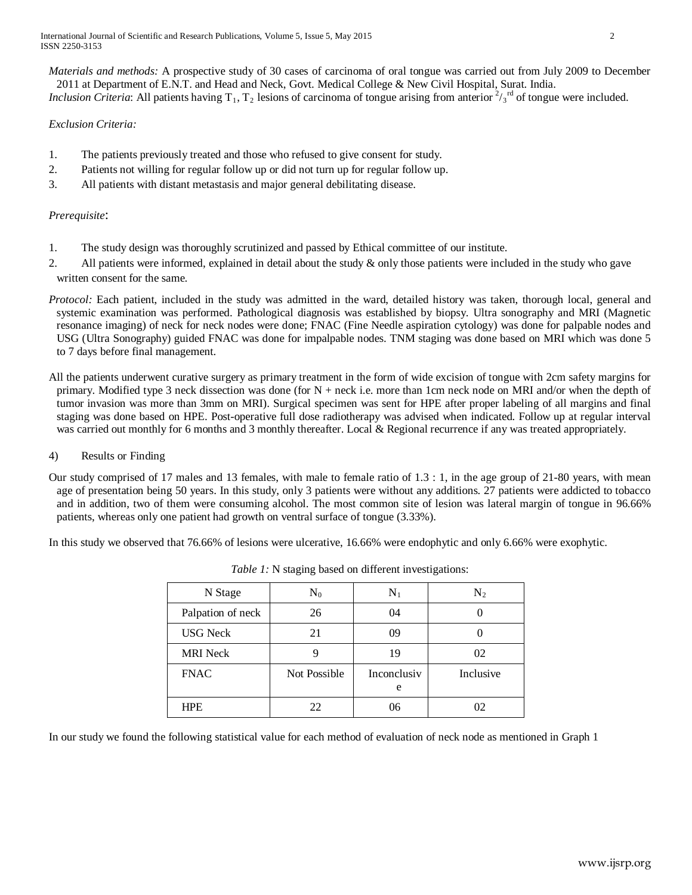International Journal of Scientific and Research Publications, Volume 5, Issue 5, May 2015 2 ISSN 2250-3153

*Materials and methods:* A prospective study of 30 cases of carcinoma of oral tongue was carried out from July 2009 to December 2011 at Department of E.N.T. and Head and Neck, Govt. Medical College & New Civil Hospital, Surat. India. *Inclusion Criteria*: All patients having T<sub>1</sub>, T<sub>2</sub> lesions of carcinoma of tongue arising from anterior  $\frac{2}{3}r^d$  of tongue were included.

## *Exclusion Criteria:*

- 1. The patients previously treated and those who refused to give consent for study.
- 2. Patients not willing for regular follow up or did not turn up for regular follow up.
- 3. All patients with distant metastasis and major general debilitating disease.

#### *Prerequisite*:

- 1. The study design was thoroughly scrutinized and passed by Ethical committee of our institute.
- 2. All patients were informed, explained in detail about the study & only those patients were included in the study who gave written consent for the same.
- *Protocol:* Each patient, included in the study was admitted in the ward, detailed history was taken, thorough local, general and systemic examination was performed. Pathological diagnosis was established by biopsy. Ultra sonography and MRI (Magnetic resonance imaging) of neck for neck nodes were done; FNAC (Fine Needle aspiration cytology) was done for palpable nodes and USG (Ultra Sonography) guided FNAC was done for impalpable nodes. TNM staging was done based on MRI which was done 5 to 7 days before final management.

All the patients underwent curative surgery as primary treatment in the form of wide excision of tongue with 2cm safety margins for primary. Modified type 3 neck dissection was done (for  $N$  + neck i.e. more than 1cm neck node on MRI and/or when the depth of tumor invasion was more than 3mm on MRI). Surgical specimen was sent for HPE after proper labeling of all margins and final staging was done based on HPE. Post-operative full dose radiotherapy was advised when indicated. Follow up at regular interval was carried out monthly for 6 months and 3 monthly thereafter. Local & Regional recurrence if any was treated appropriately.

- 4) Results or Finding
- Our study comprised of 17 males and 13 females, with male to female ratio of 1.3 : 1, in the age group of 21-80 years, with mean age of presentation being 50 years. In this study, only 3 patients were without any additions. 27 patients were addicted to tobacco and in addition, two of them were consuming alcohol. The most common site of lesion was lateral margin of tongue in 96.66% patients, whereas only one patient had growth on ventral surface of tongue (3.33%).

In this study we observed that 76.66% of lesions were ulcerative, 16.66% were endophytic and only 6.66% were exophytic.

| N Stage           | $\rm N_0$    | $\mathbf{N}_1$   | $\rm N_2$ |
|-------------------|--------------|------------------|-----------|
| Palpation of neck | 26           | 04               |           |
| <b>USG</b> Neck   | 21           | 09               |           |
| <b>MRI</b> Neck   |              | 19               | 02        |
| <b>FNAC</b>       | Not Possible | Inconclusiv<br>e | Inclusive |
| <b>HPE</b>        | フフ           | 06               | N2        |

In our study we found the following statistical value for each method of evaluation of neck node as mentioned in Graph 1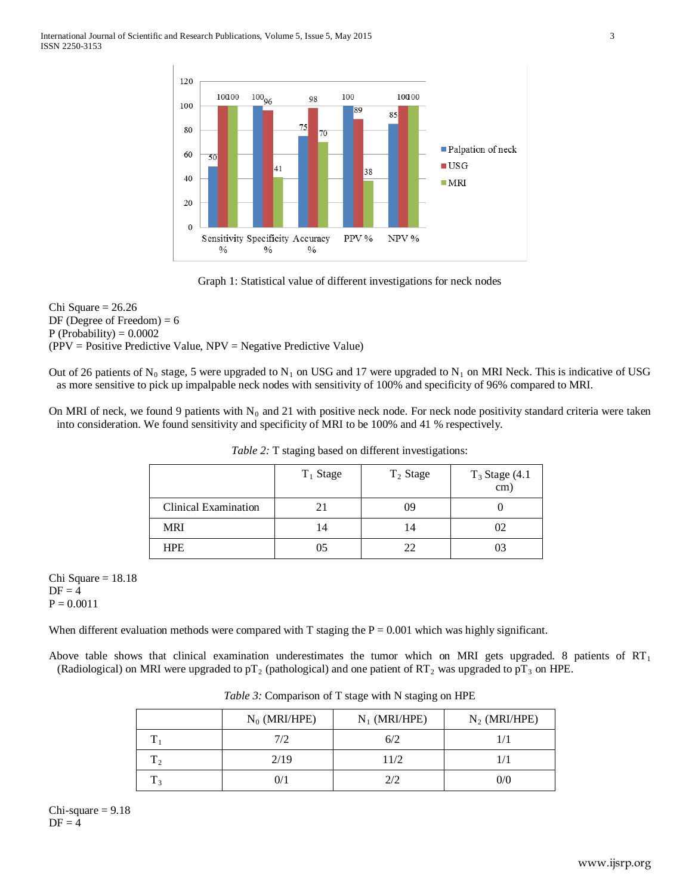

Graph 1: Statistical value of different investigations for neck nodes

Chi Square = 26.26 DF (Degree of Freedom)  $= 6$  $P$  (Probability) = 0.0002 (PPV = Positive Predictive Value, NPV = Negative Predictive Value)

Out of 26 patients of N<sub>0</sub> stage, 5 were upgraded to N<sub>1</sub> on USG and 17 were upgraded to N<sub>1</sub> on MRI Neck. This is indicative of USG as more sensitive to pick up impalpable neck nodes with sensitivity of 100% and specificity of 96% compared to MRI.

On MRI of neck, we found 9 patients with  $N_0$  and 21 with positive neck node. For neck node positivity standard criteria were taken into consideration. We found sensitivity and specificity of MRI to be 100% and 41 % respectively.

|                             | $T_1$ Stage | $T_2$ Stage | $T_3$ Stage (4.1)<br>$\rm cm)$ |
|-----------------------------|-------------|-------------|--------------------------------|
| <b>Clinical Examination</b> |             | 09          |                                |
| <b>MRI</b>                  | 14          | 14          | 02                             |
| <b>HPE</b>                  | 05          | າາ          | 03                             |

*Table 2:* T staging based on different investigations:

Chi Square  $= 18.18$  $DF = 4$  $P = 0.0011$ 

When different evaluation methods were compared with T staging the  $P = 0.001$  which was highly significant.

Above table shows that clinical examination underestimates the tumor which on MRI gets upgraded. 8 patients of  $RT_1$ (Radiological) on MRI were upgraded to pT<sub>2</sub> (pathological) and one patient of RT<sub>2</sub> was upgraded to pT<sub>3</sub> on HPE.

|              | $N_0$ (MRI/HPE) | $N_1$ (MRI/HPE) | $N_2$ (MRI/HPE) |
|--------------|-----------------|-----------------|-----------------|
|              | 7/2             | 6/2             |                 |
| $\mathbf{1}$ | 2/19            | 11/2            |                 |
| l 3          | $\gamma_1$      | 2/2             | 0/6             |

*Table 3:* Comparison of T stage with N staging on HPE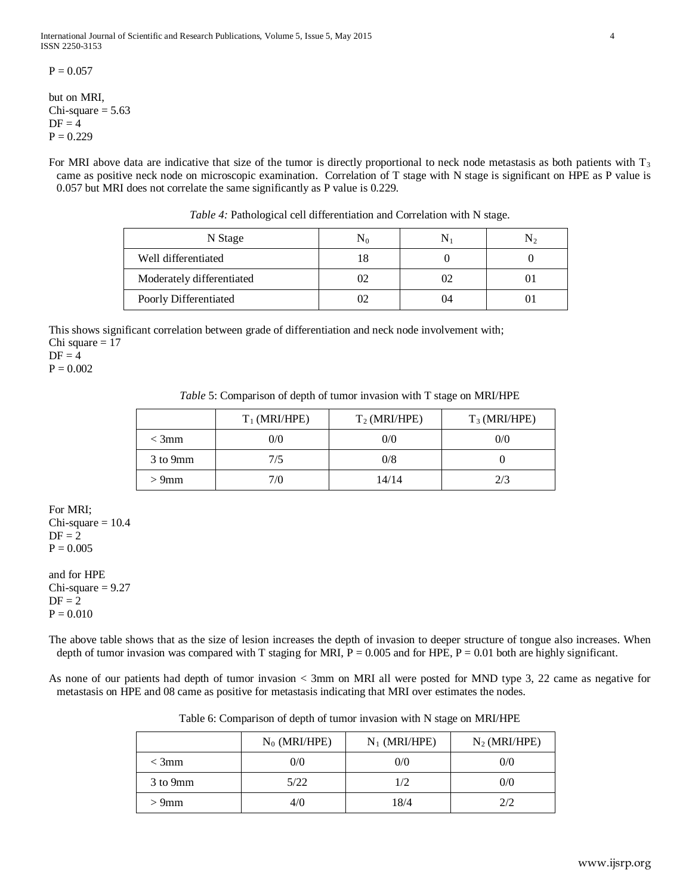$P = 0.057$ 

but on MRI, Chi-square  $= 5.63$  $DF = 4$  $P = 0.229$ 

For MRI above data are indicative that size of the tumor is directly proportional to neck node metastasis as both patients with  $T_3$ came as positive neck node on microscopic examination. Correlation of T stage with N stage is significant on HPE as P value is 0.057 but MRI does not correlate the same significantly as P value is 0.229.

| N Stage                   | N0  |    |  |
|---------------------------|-----|----|--|
| Well differentiated       | 18  |    |  |
| Moderately differentiated | 'Y2 |    |  |
| Poorly Differentiated     |     | 14 |  |

*Table 4:* Pathological cell differentiation and Correlation with N stage.

This shows significant correlation between grade of differentiation and neck node involvement with; Chi square  $= 17$ 

 $DF = 4$ 

 $P = 0.002$ 

*Table* 5: Comparison of depth of tumor invasion with T stage on MRI/HPE

|          | $T_1$ (MRI/HPE) | $T_2$ (MRI/HPE) | $T_3$ (MRI/HPE) |
|----------|-----------------|-----------------|-----------------|
| $<$ 3mm  | 0/0             | 0/0             | 0/0             |
| 3 to 9mm | 7/5             | 0/8             |                 |
| $>9$ mm  | 7/0             | 14/14           | 2/3             |

For MRI;  $Chi-square = 10.4$  $DF = 2$  $P = 0.005$ 

and for HPE  $Chi-square = 9.27$  $DF = 2$  $P = 0.010$ 

The above table shows that as the size of lesion increases the depth of invasion to deeper structure of tongue also increases. When depth of tumor invasion was compared with T staging for MRI,  $P = 0.005$  and for HPE,  $P = 0.01$  both are highly significant.

As none of our patients had depth of tumor invasion < 3mm on MRI all were posted for MND type 3, 22 came as negative for metastasis on HPE and 08 came as positive for metastasis indicating that MRI over estimates the nodes.

| Table 6: Comparison of depth of tumor invasion with N stage on MRI/HPE |  |  |  |
|------------------------------------------------------------------------|--|--|--|
|------------------------------------------------------------------------|--|--|--|

|          | $N_0$ (MRI/HPE) | $N_1$ (MRI/HPE) | $N_2$ (MRI/HPE) |
|----------|-----------------|-----------------|-----------------|
| $<$ 3mm  | 0/0             | 0/0             | 0/0             |
| 3 to 9mm | 5/22            | 1/2             | 0/0             |
| $>9$ mm  | 4/0             | 18/4            | 2/2             |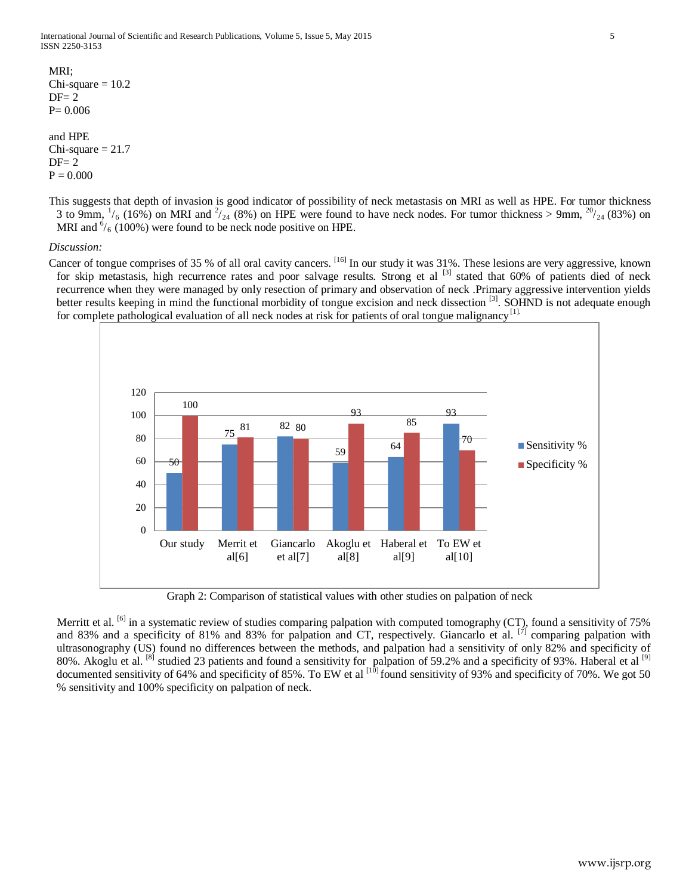MRI;  $Chi-square = 10.2$  $DF = 2$ P= 0.006

and HPE  $Chi-square = 21.7$  $DF = 2$  $P = 0.000$ 

This suggests that depth of invasion is good indicator of possibility of neck metastasis on MRI as well as HPE. For tumor thickness 3 to 9mm,  $\frac{1}{6}$  (16%) on MRI and  $\frac{2}{24}$  (8%) on HPE were found to have neck nodes. For tumor thickness > 9mm,  $\frac{20}{24}$  (83%) on MRI and  $\frac{6}{6}$  (100%) were found to be neck node positive on HPE.

#### *Discussion:*

Cancer of tongue comprises of 35 % of all oral cavity cancers. [16] In our study it was 31%. These lesions are very aggressive, known for skip metastasis, high recurrence rates and poor salvage results. Strong et al <sup>[3]</sup> stated that 60% of patients died of neck recurrence when they were managed by only resection of primary and observation of neck .Primary aggressive intervention yields better results keeping in mind the functional morbidity of tongue excision and neck dissection <sup>[3]</sup>. SOHND is not adequate enough for complete pathological evaluation of all neck nodes at risk for patients of oral tongue malignancy<sup>[1].</sup>



Graph 2: Comparison of statistical values with other studies on palpation of neck

Merritt et al. <sup>[6]</sup> in a systematic review of studies comparing palpation with computed tomography (CT), found a sensitivity of 75% and 83% and a specificity of 81% and 83% for palpation and CT, respectively. Giancarlo et al. <sup>[7]</sup> comparing palpation with ultrasonography (US) found no differences between the methods, and palpation had a sensitivity of only 82% and specificity of 80%. Akoglu et al. <sup>[8]</sup> studied 23 patients and found a sensitivity for palpation of 59.2% and a specificity of 93%. Haberal et al <sup>[9]</sup> documented sensitivity of 64% and specificity of 85%. To EW et al  $^{[1\bar{0}]}$  found sensitivity of 93% and specificity of 70%. We got 50 % sensitivity and 100% specificity on palpation of neck.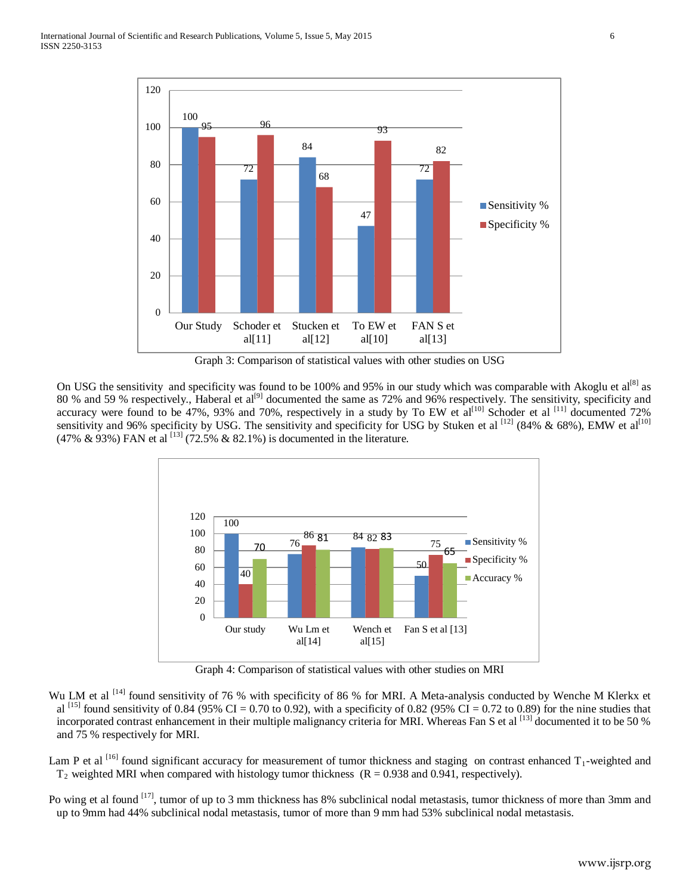

Graph 3: Comparison of statistical values with other studies on USG

On USG the sensitivity and specificity was found to be 100% and 95% in our study which was comparable with Akoglu et al<sup>[8]</sup> as 80 % and 59 % respectively., Haberal et al<sup>[9]</sup> documented the same as 72% and 96% respectively. The sensitivity, specificity and accuracy were found to be 47%, 93% and 70%, respectively in a study by To EW et  $al^{[10]}$  Schoder et al  $^{[11]}$  documented 72% sensitivity and 96% specificity by USG. The sensitivity and specificity for USG by Stuken et al  $^{[12]}$  (84% & 68%), EMW et al $^{[10]}$ (47% & 93%) FAN et al  $^{[13]}$  (72.5% & 82.1%) is documented in the literature.



Graph 4: Comparison of statistical values with other studies on MRI

Wu LM et al <sup>[14]</sup> found sensitivity of 76 % with specificity of 86 % for MRI. A Meta-analysis conducted by Wenche M Klerkx et al <sup>[15]</sup> found sensitivity of 0.84 (95% CI = 0.70 to 0.92), with a specificity of 0.82 (95% CI = 0.72 to 0.89) for the nine studies that incorporated contrast enhancement in their multiple malignancy criteria for MRI. Whereas Fan S et al [13] documented it to be 50 % and 75 % respectively for MRI.

Lam P et al  $^{[16]}$  found significant accuracy for measurement of tumor thickness and staging on contrast enhanced  $T_1$ -weighted and  $T_2$  weighted MRI when compared with histology tumor thickness ( $R = 0.938$  and 0.941, respectively).

Po wing et al found <sup>[17]</sup>, tumor of up to 3 mm thickness has 8% subclinical nodal metastasis, tumor thickness of more than 3mm and up to 9mm had 44% subclinical nodal metastasis, tumor of more than 9 mm had 53% subclinical nodal metastasis.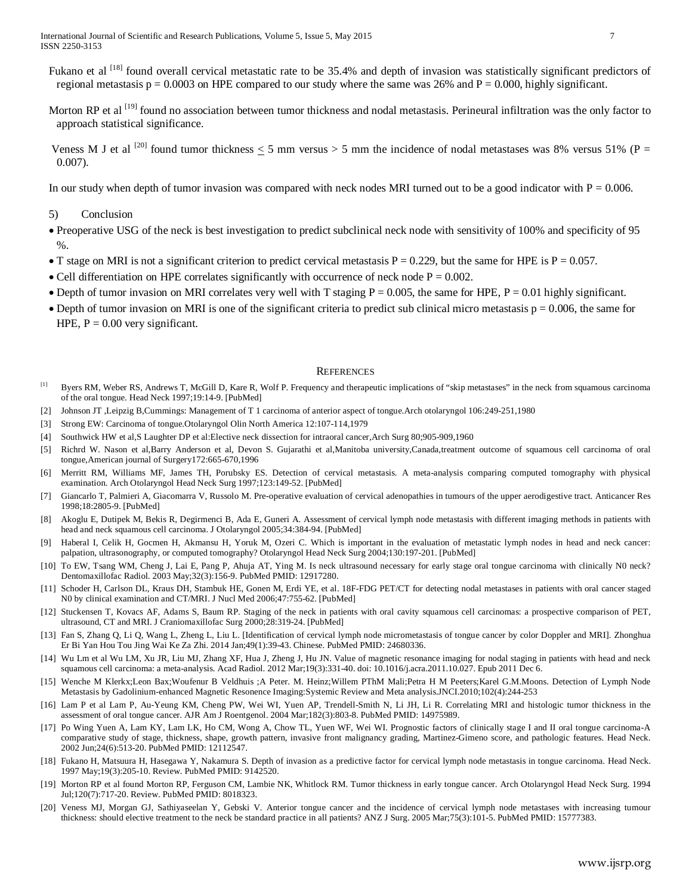- Fukano et al <sup>[18]</sup> found overall cervical metastatic rate to be 35.4% and depth of invasion was statistically significant predictors of regional metastasis  $p = 0.0003$  on HPE compared to our study where the same was 26% and  $P = 0.000$ , highly significant.
- Morton RP et al <sup>[19]</sup> found no association between tumor thickness and nodal metastasis. Perineural infiltration was the only factor to approach statistical significance.
- Veness M J et al  $^{[20]}$  found tumor thickness < 5 mm versus > 5 mm the incidence of nodal metastases was 8% versus 51% (P = 0.007).

In our study when depth of tumor invasion was compared with neck nodes MRI turned out to be a good indicator with  $P = 0.006$ .

#### 5) Conclusion

- Preoperative USG of the neck is best investigation to predict subclinical neck node with sensitivity of 100% and specificity of 95 %.
- T stage on MRI is not a significant criterion to predict cervical metastasis  $P = 0.229$ , but the same for HPE is  $P = 0.057$ .
- Cell differentiation on HPE correlates significantly with occurrence of neck node  $P = 0.002$ .
- Depth of tumor invasion on MRI correlates very well with T staging  $P = 0.005$ , the same for HPE,  $P = 0.01$  highly significant.
- Depth of tumor invasion on MRI is one of the significant criteria to predict sub clinical micro metastasis  $p = 0.006$ , the same for HPE,  $P = 0.00$  very significant.

#### **REFERENCES**

- <sup>[1]</sup> Byers RM, Weber RS, Andrews T, McGill D, Kare R, Wolf P. Frequency and therapeutic implications of "skip metastases" in the neck from squamous carcinoma of the oral tongue. Head Neck 1997;19:14-9. [\[PubMed\]](http://www.ncbi.nlm.nih.gov/pubmed/9030939)
- [2] Johnson JT ,Leipzig B,Cummings: Management of T 1 carcinoma of anterior aspect of tongue.Arch otolaryngol 106:249-251,1980
- [3] Strong EW: Carcinoma of tongue.Otolaryngol Olin North America 12:107-114,1979
- [4] Southwick HW et al,S Laughter DP et al:Elective neck dissection for intraoral cancer,Arch Surg 80;905-909,1960
- [5] Richrd W. Nason et al,Barry Anderson et al, Devon S. Gujarathi et al,Manitoba university,Canada,treatment outcome of squamous cell carcinoma of oral tongue,American journal of Surgery172:665-670,1996
- [6] Merritt RM, Williams MF, James TH, Porubsky ES. Detection of cervical metastasis. A meta-analysis comparing computed tomography with physical examination. Arch Otolaryngol Head Neck Surg 1997;123:149-52. [\[PubMed\]](http://www.ncbi.nlm.nih.gov/pubmed/9046281)
- [7] Giancarlo T, Palmieri A, Giacomarra V, Russolo M. Pre-operative evaluation of cervical adenopathies in tumours of the upper aerodigestive tract. Anticancer Res 1998;18:2805-9. [\[PubMed\]](http://www.ncbi.nlm.nih.gov/pubmed/9713465)
- [8] Akoglu E, Dutipek M, Bekis R, Degirmenci B, Ada E, Guneri A. Assessment of cervical lymph node metastasis with different imaging methods in patients with head and neck squamous cell carcinoma. J Otolaryngol 2005;34:384-94. [\[PubMed\]](http://www.ncbi.nlm.nih.gov/pubmed/16343398)
- [9] Haberal I, Celik H, Gocmen H, Akmansu H, Yoruk M, Ozeri C. Which is important in the evaluation of metastatic lymph nodes in head and neck cancer: palpation, ultrasonography, or computed tomography? Otolaryngol Head Neck Surg 2004;130:197-201. [\[PubMed\]](http://www.ncbi.nlm.nih.gov/pubmed/14990916)
- [10] To EW, Tsang WM, Cheng J, Lai E, Pang P, Ahuja AT, Ying M. [Is neck ultrasound necessary for early stage oral tongue carcinoma with clinically N0 neck?](http://www.ncbi.nlm.nih.gov/pubmed/12917280) Dentomaxillofac Radiol. 2003 May;32(3):156-9. PubMed PMID: 12917280.
- [11] Schoder H, Carlson DL, Kraus DH, Stambuk HE, Gonen M, Erdi YE, et al. 18F-FDG PET/CT for detecting nodal metastases in patients with oral cancer staged N0 by clinical examination and CT/MRI. J Nucl Med 2006;47:755-62. [\[PubMed\]](http://www.ncbi.nlm.nih.gov/pubmed/16644744)
- [12] Stuckensen T, Kovacs AF, Adams S, Baum RP. Staging of the neck in patients with oral cavity squamous cell carcinomas: a prospective comparison of PET, ultrasound, CT and MRI. J Craniomaxillofac Surg 2000;28:319-24. [\[PubMed\]](http://www.ncbi.nlm.nih.gov/pubmed/11465137)
- [13] Fan S, Zhang Q, Li Q, Wang L, Zheng L, Liu L[. \[Identification of cervical lymph node micrometastasis of tongue cancer by color Doppler and MRI\].](http://www.ncbi.nlm.nih.gov/pubmed/24680336) Zhonghua Er Bi Yan Hou Tou Jing Wai Ke Za Zhi. 2014 Jan;49(1):39-43. Chinese. PubMed PMID: 24680336.
- [14] Wu Lm et al Wu LM, Xu JR, Liu MJ, Zhang XF, Hua J, Zheng J, Hu JN. Value of magnetic resonance imaging for nodal staging in patients with head and neck squamous cell carcinoma: a meta-analysis. Acad Radiol. 2012 Mar;19(3):331-40. doi: 10.1016/j.acra.2011.10.027. Epub 2011 Dec 6.
- [15] Wenche M Klerkx;Leon Bax;Woufenur B Veldhuis ;A Peter. M. Heinz;Willem PThM Mali;Petra H M Peeters;Karel G.M.Moons. Detection of Lymph Node Metastasis by Gadolinium-enhanced Magnetic Resonence Imaging:Systemic Review and Meta analysis.JNCI.2010;102(4):244-253
- [16] Lam P et al Lam P, Au-Yeung KM, Cheng PW, Wei WI, Yuen AP, Trendell-Smith N, Li JH, Li R. Correlating MRI and histologic tumor thickness in the [assessment of oral tongue cancer.](http://www.ncbi.nlm.nih.gov/pubmed/14975989) AJR Am J Roentgenol. 2004 Mar;182(3):803-8. PubMed PMID: 14975989.
- [17] Po Wing Yuen A, Lam KY, Lam LK, Ho CM, Wong A, Chow TL, Yuen WF, Wei WI. [Prognostic factors of clinically stage I and II oral tongue carcinoma-A](http://www.ncbi.nlm.nih.gov/pubmed/12112547)  [comparative study of stage, thickness, shape, growth pattern, invasive front malignancy grading, Martinez-Gimeno score, and pathologic features.](http://www.ncbi.nlm.nih.gov/pubmed/12112547) Head Neck. 2002 Jun;24(6):513-20. PubMed PMID: 12112547.
- [18] Fukano H, Matsuura H, Hasegawa Y, Nakamura S[. Depth of invasion as a predictive factor for cervical lymph node metastasis in tongue carcinoma.](http://www.ncbi.nlm.nih.gov/pubmed/9142520) Head Neck. 1997 May;19(3):205-10. Review. PubMed PMID: 9142520.
- [19] Morton RP et al found Morton RP, Ferguson CM, Lambie NK, Whitlock RM. [Tumor thickness in early tongue cancer.](http://www.ncbi.nlm.nih.gov/pubmed/8018323) Arch Otolaryngol Head Neck Surg. 1994 Jul;120(7):717-20. Review. PubMed PMID: 8018323.
- [20] Veness MJ, Morgan GJ, Sathiyaseelan Y, Gebski V. [Anterior tongue cancer and the incidence of cervical lymph node metastases with increasing tumour](http://www.ncbi.nlm.nih.gov/pubmed/15777383)  [thickness: should elective treatment to the neck be standard practice in all patients?](http://www.ncbi.nlm.nih.gov/pubmed/15777383) ANZ J Surg. 2005 Mar;75(3):101-5. PubMed PMID: 15777383.